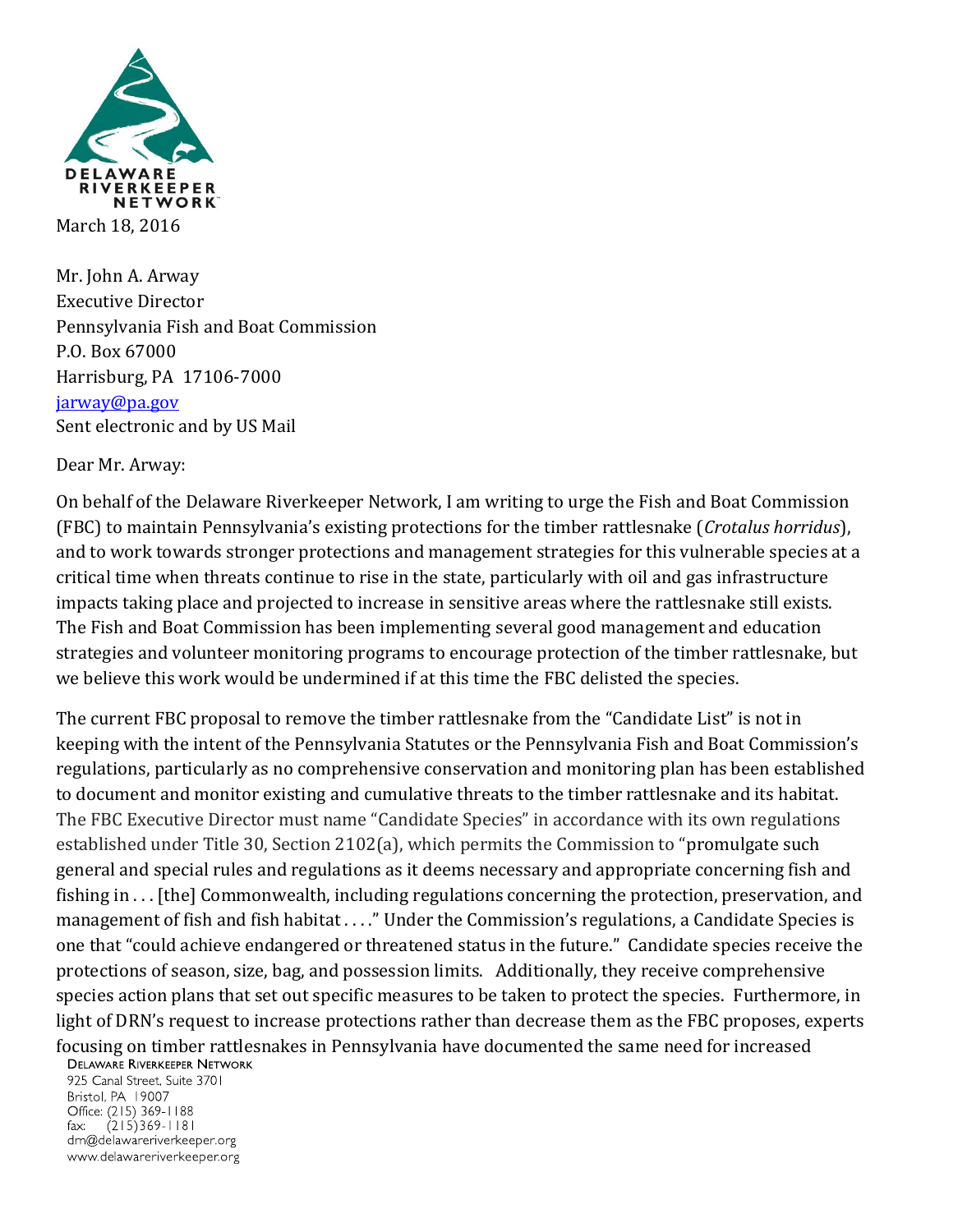

Mr. John A. Arway Executive Director Pennsylvania Fish and Boat Commission P.O. Box 67000 Harrisburg, PA 17106-7000 [jarway@pa.gov](mailto:jarway@pa.gov) Sent electronic and by US Mail

Dear Mr. Arway:

On behalf of the Delaware Riverkeeper Network, I am writing to urge the Fish and Boat Commission (FBC) to maintain Pennsylvania's existing protections for the timber rattlesnake (*Crotalus horridus*), and to work towards stronger protections and management strategies for this vulnerable species at a critical time when threats continue to rise in the state, particularly with oil and gas infrastructure impacts taking place and projected to increase in sensitive areas where the rattlesnake still exists. The Fish and Boat Commission has been implementing several good management and education strategies and volunteer monitoring programs to encourage protection of the timber rattlesnake, but we believe this work would be undermined if at this time the FBC delisted the species.

The current FBC proposal to remove the timber rattlesnake from the "Candidate List" is not in keeping with the intent of the Pennsylvania Statutes or the Pennsylvania Fish and Boat Commission's regulations, particularly as no comprehensive conservation and monitoring plan has been established to document and monitor existing and cumulative threats to the timber rattlesnake and its habitat. The FBC Executive Director must name "Candidate Species" in accordance with its own regulations established under Title 30, Section 2102(a), which permits the Commission to "promulgate such general and special rules and regulations as it deems necessary and appropriate concerning fish and fishing in . . . [the] Commonwealth, including regulations concerning the protection, preservation, and management of fish and fish habitat . . . ." Under the Commission's regulations, a Candidate Species is one that "could achieve endangered or threatened status in the future." Candidate species receive the protections of season, size, bag, and possession limits. Additionally, they receive comprehensive species action plans that set out specific measures to be taken to protect the species. Furthermore, in light of DRN's request to increase protections rather than decrease them as the FBC proposes, experts

focusing on timber rattlesnakes in Pennsylvania have documented the same need for increased **DELAWARE RIVERKEEPER NETWORK** 

925 Canal Street, Suite 3701 Bristol, PA 19007 Office: (215) 369-1188  $(215)369 - 1181$  $\mathsf{fax:}$ drn@delawareriverkeeper.org www.delawareriverkeeper.org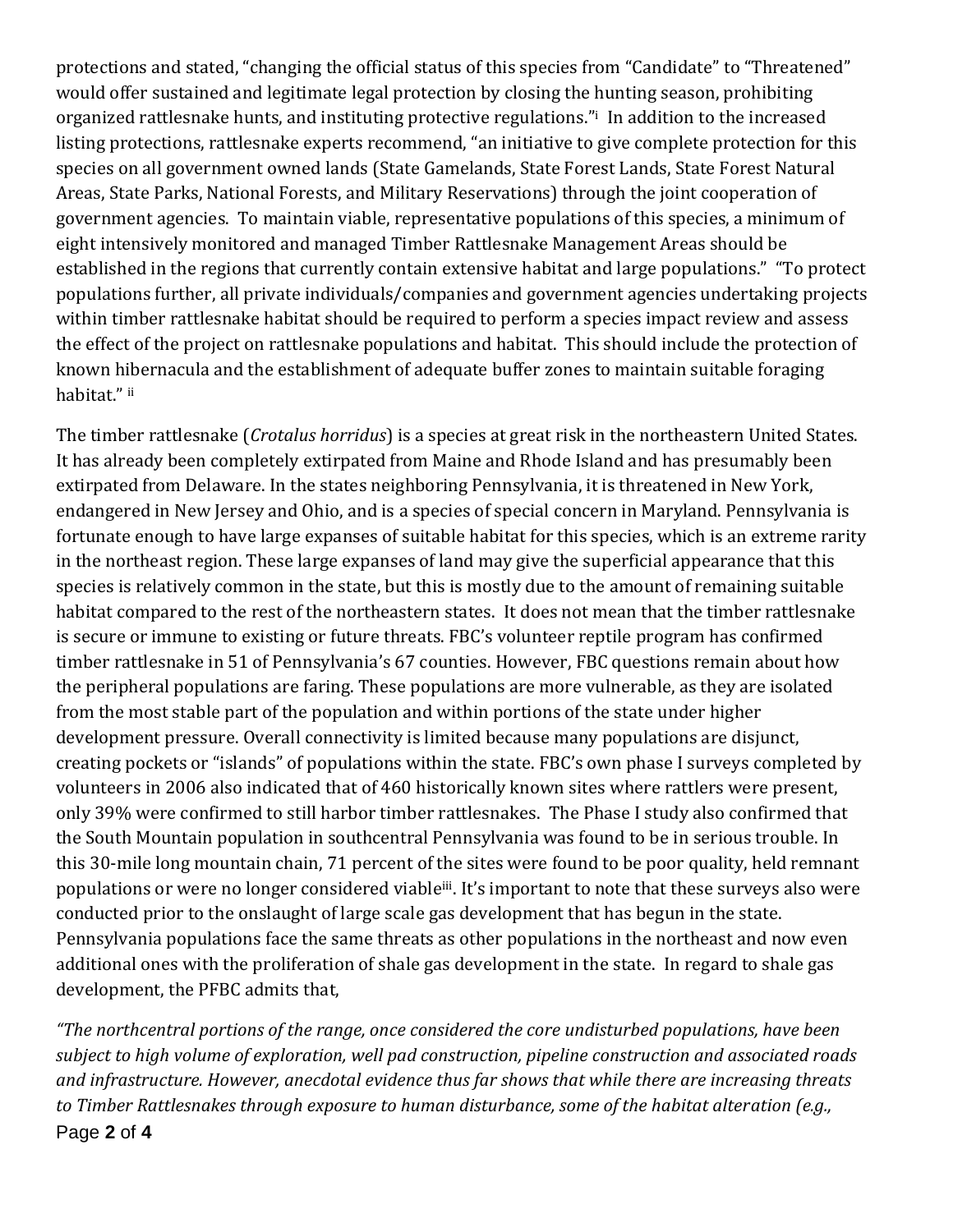protections and stated, "changing the official status of this species from "Candidate" to "Threatened" would offer sustained and legitimate legal protection by closing the hunting season, prohibiting organized rattlesnake hunts, and instituting protective regulations."<sup>i</sup> In addition to the increased listing protections, rattlesnake experts recommend, "an initiative to give complete protection for this species on all government owned lands (State Gamelands, State Forest Lands, State Forest Natural Areas, State Parks, National Forests, and Military Reservations) through the joint cooperation of government agencies. To maintain viable, representative populations of this species, a minimum of eight intensively monitored and managed Timber Rattlesnake Management Areas should be established in the regions that currently contain extensive habitat and large populations." "To protect populations further, all private individuals/companies and government agencies undertaking projects within timber rattlesnake habitat should be required to perform a species impact review and assess the effect of the project on rattlesnake populations and habitat. This should include the protection of known hibernacula and the establishment of adequate buffer zones to maintain suitable foraging habitat." <sup>ii</sup>

The timber rattlesnake (*Crotalus horridus*) is a species at great risk in the northeastern United States. It has already been completely extirpated from Maine and Rhode Island and has presumably been extirpated from Delaware. In the states neighboring Pennsylvania, it is threatened in New York, endangered in New Jersey and Ohio, and is a species of special concern in Maryland. Pennsylvania is fortunate enough to have large expanses of suitable habitat for this species, which is an extreme rarity in the northeast region. These large expanses of land may give the superficial appearance that this species is relatively common in the state, but this is mostly due to the amount of remaining suitable habitat compared to the rest of the northeastern states. It does not mean that the timber rattlesnake is secure or immune to existing or future threats. FBC's volunteer reptile program has confirmed timber rattlesnake in 51 of Pennsylvania's 67 counties. However, FBC questions remain about how the peripheral populations are faring. These populations are more vulnerable, as they are isolated from the most stable part of the population and within portions of the state under higher development pressure. Overall connectivity is limited because many populations are disjunct, creating pockets or "islands" of populations within the state. FBC's own phase I surveys completed by volunteers in 2006 also indicated that of 460 historically known sites where rattlers were present, only 39% were confirmed to still harbor timber rattlesnakes. The Phase I study also confirmed that the South Mountain population in southcentral Pennsylvania was found to be in serious trouble. In this 30-mile long mountain chain, 71 percent of the sites were found to be poor quality, held remnant populations or were no longer considered viable<sup>iii</sup>. It's important to note that these surveys also were conducted prior to the onslaught of large scale gas development that has begun in the state. Pennsylvania populations face the same threats as other populations in the northeast and now even additional ones with the proliferation of shale gas development in the state. In regard to shale gas development, the PFBC admits that,

Page **2** of **4** *"The northcentral portions of the range, once considered the core undisturbed populations, have been subject to high volume of exploration, well pad construction, pipeline construction and associated roads and infrastructure. However, anecdotal evidence thus far shows that while there are increasing threats to Timber Rattlesnakes through exposure to human disturbance, some of the habitat alteration (e.g.,*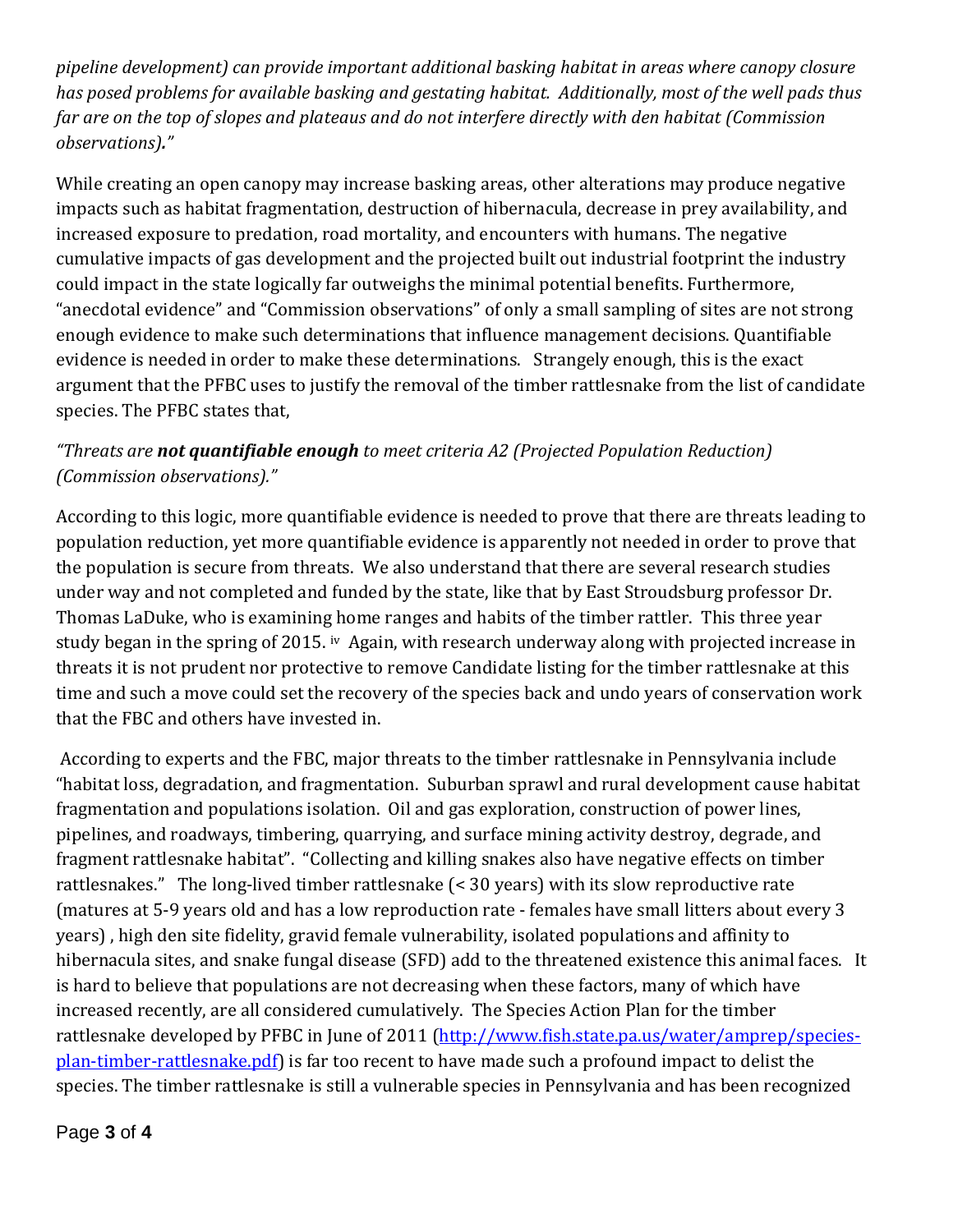*pipeline development) can provide important additional basking habitat in areas where canopy closure has posed problems for available basking and gestating habitat. Additionally, most of the well pads thus far are on the top of slopes and plateaus and do not interfere directly with den habitat (Commission observations)."*

While creating an open canopy may increase basking areas, other alterations may produce negative impacts such as habitat fragmentation, destruction of hibernacula, decrease in prey availability, and increased exposure to predation, road mortality, and encounters with humans. The negative cumulative impacts of gas development and the projected built out industrial footprint the industry could impact in the state logically far outweighs the minimal potential benefits. Furthermore, "anecdotal evidence" and "Commission observations" of only a small sampling of sites are not strong enough evidence to make such determinations that influence management decisions. Quantifiable evidence is needed in order to make these determinations. Strangely enough, this is the exact argument that the PFBC uses to justify the removal of the timber rattlesnake from the list of candidate species. The PFBC states that,

## *"Threats are not quantifiable enough to meet criteria A2 (Projected Population Reduction) (Commission observations)."*

According to this logic, more quantifiable evidence is needed to prove that there are threats leading to population reduction, yet more quantifiable evidence is apparently not needed in order to prove that the population is secure from threats. We also understand that there are several research studies under way and not completed and funded by the state, like that by East Stroudsburg professor Dr. Thomas LaDuke, who is examining home ranges and habits of the timber rattler. This three year study began in the spring of 2015. iv Again, with research underway along with projected increase in threats it is not prudent nor protective to remove Candidate listing for the timber rattlesnake at this time and such a move could set the recovery of the species back and undo years of conservation work that the FBC and others have invested in.

According to experts and the FBC, major threats to the timber rattlesnake in Pennsylvania include "habitat loss, degradation, and fragmentation. Suburban sprawl and rural development cause habitat fragmentation and populations isolation. Oil and gas exploration, construction of power lines, pipelines, and roadways, timbering, quarrying, and surface mining activity destroy, degrade, and fragment rattlesnake habitat". "Collecting and killing snakes also have negative effects on timber rattlesnakes." The long-lived timber rattlesnake (< 30 years) with its slow reproductive rate (matures at 5-9 years old and has a low reproduction rate - females have small litters about every 3 years) , high den site fidelity, gravid female vulnerability, isolated populations and affinity to hibernacula sites, and snake fungal disease (SFD) add to the threatened existence this animal faces. It is hard to believe that populations are not decreasing when these factors, many of which have increased recently, are all considered cumulatively. The Species Action Plan for the timber rattlesnake developed by PFBC in June of 2011 [\(http://www.fish.state.pa.us/water/amprep/species](http://www.fish.state.pa.us/water/amprep/species-plan-timber-rattlesnake.pdf)[plan-timber-rattlesnake.pdf\)](http://www.fish.state.pa.us/water/amprep/species-plan-timber-rattlesnake.pdf) is far too recent to have made such a profound impact to delist the species. The timber rattlesnake is still a vulnerable species in Pennsylvania and has been recognized